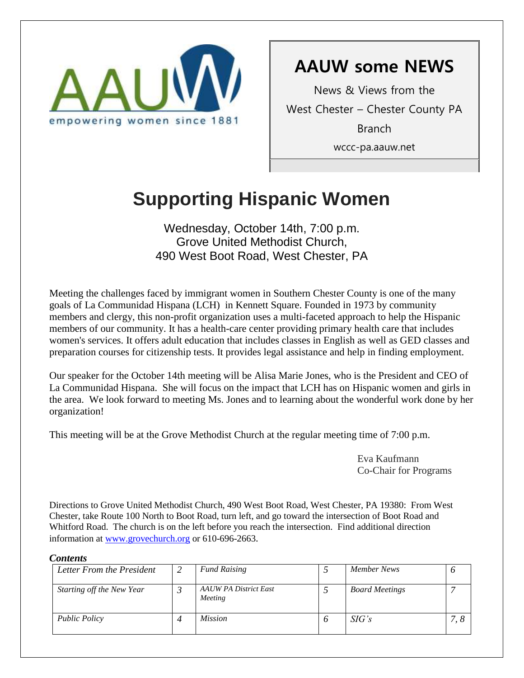

# **AAUW some NEWS**

News & Views from the West Chester – Chester County PA Branch wccc-pa.aauw.net

# **Supporting Hispanic Women**

Wednesday, October 14th, 7:00 p.m. Grove United Methodist Church, 490 West Boot Road, West Chester, PA

Meeting the challenges faced by immigrant women in Southern Chester County is one of the many goals of La Communidad Hispana (LCH) in Kennett Square. Founded in 1973 by community members and clergy, this non-profit organization uses a multi-faceted approach to help the Hispanic members of our community. It has a health-care center providing primary health care that includes women's services. It offers adult education that includes classes in English as well as GED classes and preparation courses for citizenship tests. It provides legal assistance and help in finding employment.

Our speaker for the October 14th meeting will be Alisa Marie Jones, who is the President and CEO of La Communidad Hispana. She will focus on the impact that LCH has on Hispanic women and girls in the area. We look forward to meeting Ms. Jones and to learning about the wonderful work done by her organization!

This meeting will be at the Grove Methodist Church at the regular meeting time of 7:00 p.m.

Eva Kaufmann Co-Chair for Programs

Directions to Grove United Methodist Church, 490 West Boot Road, West Chester, PA 19380: From West Chester, take Route 100 North to Boot Road, turn left, and go toward the intersection of Boot Road and Whitford Road. The church is on the left before you reach the intersection. Find additional direction information at [www.grovechurch.org](http://www.grovechurch.org/) or 610-696-2663.

#### *Contents*

| Letter From the President | <b>Fund Raising</b>                     |   | Member News           |     |
|---------------------------|-----------------------------------------|---|-----------------------|-----|
| Starting off the New Year | <b>AAUW PA District East</b><br>Meeting |   | <b>Board Meetings</b> |     |
| <b>Public Policy</b>      | <i>Mission</i>                          | O | SIG's                 | 7.8 |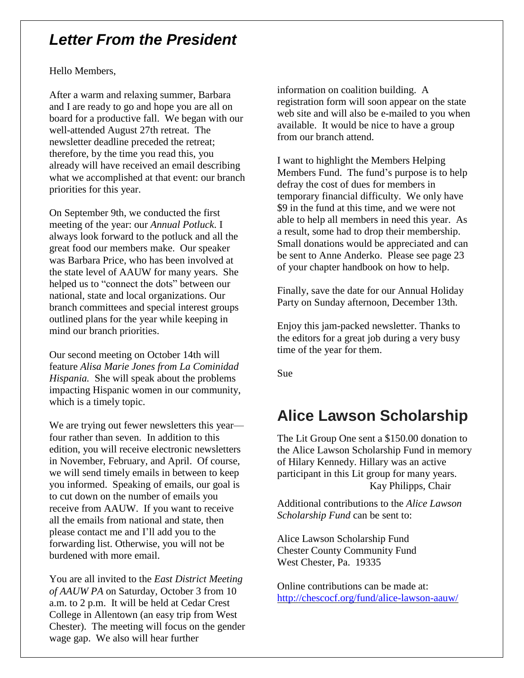# *Letter From the President*

#### Hello Members,

After a warm and relaxing summer, Barbara and I are ready to go and hope you are all on board for a productive fall. We began with our well-attended August 27th retreat. The newsletter deadline preceded the retreat; therefore, by the time you read this, you already will have received an email describing what we accomplished at that event: our branch priorities for this year.

On September 9th, we conducted the first meeting of the year: our *Annual Potluck*. I always look forward to the potluck and all the great food our members make. Our speaker was Barbara Price, who has been involved at the state level of AAUW for many years. She helped us to "connect the dots" between our national, state and local organizations. Our branch committees and special interest groups outlined plans for the year while keeping in mind our branch priorities.

Our second meeting on October 14th will feature *Alisa Marie Jones from La Cominidad Hispania.* She will speak about the problems impacting Hispanic women in our community, which is a timely topic.

We are trying out fewer newsletters this year four rather than seven. In addition to this edition, you will receive electronic newsletters in November, February, and April. Of course, we will send timely emails in between to keep you informed. Speaking of emails, our goal is to cut down on the number of emails you receive from AAUW. If you want to receive all the emails from national and state, then please contact me and I'll add you to the forwarding list. Otherwise, you will not be burdened with more email.

You are all invited to the *East District Meeting of AAUW PA* on Saturday, October 3 from 10 a.m. to 2 p.m. It will be held at Cedar Crest College in Allentown (an easy trip from West Chester). The meeting will focus on the gender wage gap. We also will hear further

information on coalition building. A registration form will soon appear on the state web site and will also be e-mailed to you when available. It would be nice to have a group from our branch attend.

I want to highlight the Members Helping Members Fund. The fund's purpose is to help defray the cost of dues for members in temporary financial difficulty. We only have \$9 in the fund at this time, and we were not able to help all members in need this year. As a result, some had to drop their membership. Small donations would be appreciated and can be sent to Anne Anderko. Please see page 23 of your chapter handbook on how to help.

Finally, save the date for our Annual Holiday Party on Sunday afternoon, December 13th.

Enjoy this jam-packed newsletter. Thanks to the editors for a great job during a very busy time of the year for them.

Sue

## **Alice Lawson Scholarship**

The Lit Group One sent a \$150.00 donation to the Alice Lawson Scholarship Fund in memory of Hilary Kennedy. Hillary was an active participant in this Lit group for many years. Kay Philipps, Chair

Additional contributions to the *Alice Lawson Scholarship Fund* can be sent to:

Alice Lawson Scholarship Fund Chester County Community Fund West Chester, Pa. 19335

Online contributions can be made at: <http://chescocf.org/fund/alice-lawson-aauw/>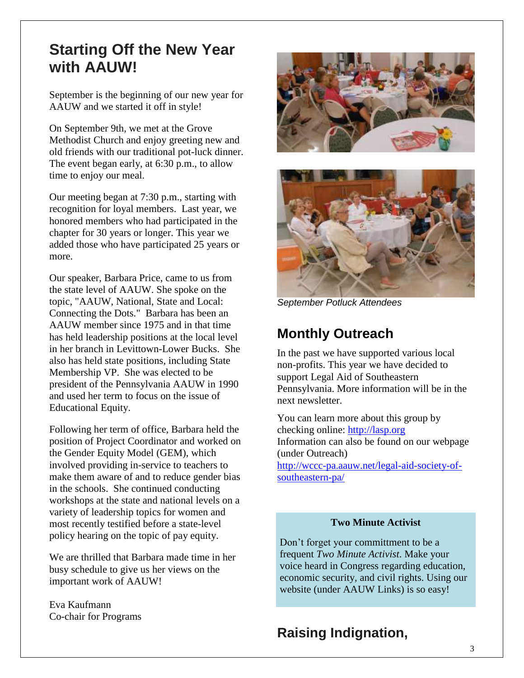# **Starting Off the New Year with AAUW!**

September is the beginning of our new year for AAUW and we started it off in style!

On September 9th, we met at the Grove Methodist Church and enjoy greeting new and old friends with our traditional pot-luck dinner. The event began early, at 6:30 p.m., to allow time to enjoy our meal.

Our meeting began at 7:30 p.m., starting with recognition for loyal members. Last year, we honored members who had participated in the chapter for 30 years or longer. This year we added those who have participated 25 years or more.

Our speaker, Barbara Price, came to us from the state level of AAUW. She spoke on the topic, "AAUW, National, State and Local: Connecting the Dots." Barbara has been an AAUW member since 1975 and in that time has held leadership positions at the local level in her branch in Levittown-Lower Bucks. She also has held state positions, including State Membership VP. She was elected to be president of the Pennsylvania AAUW in 1990 and used her term to focus on the issue of Educational Equity.

Following her term of office, Barbara held the position of Project Coordinator and worked on the Gender Equity Model (GEM), which involved providing in-service to teachers to make them aware of and to reduce gender bias in the schools. She continued conducting workshops at the state and national levels on a variety of leadership topics for women and most recently testified before a state-level policy hearing on the topic of pay equity.

We are thrilled that Barbara made time in her busy schedule to give us her views on the important work of AAUW!

Eva Kaufmann Co-chair for Programs





*September Potluck Attendees*

## **Monthly Outreach**

In the past we have supported various local non-profits. This year we have decided to support Legal Aid of Southeastern Pennsylvania. More information will be in the next newsletter.

You can learn more about this group by checking online: [http://lasp.org](http://lasp.org/)  Information can also be found on our webpage (under Outreach) [http://wccc-pa.aauw.net/legal-aid-society-of](http://wccc-pa.aauw.net/legal-aid-society-of-southeastern-pa/)[southeastern-pa/](http://wccc-pa.aauw.net/legal-aid-society-of-southeastern-pa/)

#### **Two Minute Activist**

Don't forget your committment to be a frequent *Two Minute Activist*. Make your voice heard in Congress regarding education, economic security, and civil rights. Using our website (under AAUW Links) is so easy!

### **Raising Indignation,**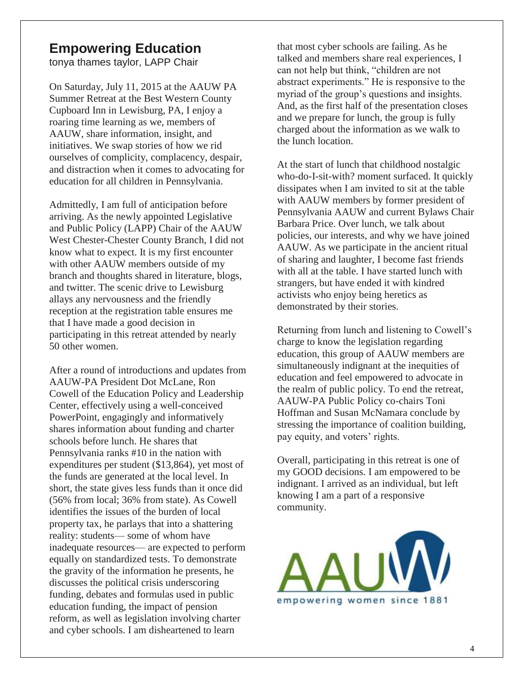### **Empowering Education**

tonya thames taylor, LAPP Chair

On Saturday, July 11, 2015 at the AAUW PA Summer Retreat at the Best Western County Cupboard Inn in Lewisburg, PA, I enjoy a roaring time learning as we, members of AAUW, share information, insight, and initiatives. We swap stories of how we rid ourselves of complicity, complacency, despair, and distraction when it comes to advocating for education for all children in Pennsylvania.

Admittedly, I am full of anticipation before arriving. As the newly appointed Legislative and Public Policy (LAPP) Chair of the AAUW West Chester-Chester County Branch, I did not know what to expect. It is my first encounter with other AAUW members outside of my branch and thoughts shared in literature, blogs, and twitter. The scenic drive to Lewisburg allays any nervousness and the friendly reception at the registration table ensures me that I have made a good decision in participating in this retreat attended by nearly 50 other women.

After a round of introductions and updates from AAUW-PA President Dot McLane, Ron Cowell of the Education Policy and Leadership Center, effectively using a well-conceived PowerPoint, engagingly and informatively shares information about funding and charter schools before lunch. He shares that Pennsylvania ranks #10 in the nation with expenditures per student (\$13,864), yet most of the funds are generated at the local level. In short, the state gives less funds than it once did (56% from local; 36% from state). As Cowell identifies the issues of the burden of local property tax, he parlays that into a shattering reality: students— some of whom have inadequate resources— are expected to perform equally on standardized tests. To demonstrate the gravity of the information he presents, he discusses the political crisis underscoring funding, debates and formulas used in public education funding, the impact of pension reform, as well as legislation involving charter and cyber schools. I am disheartened to learn

that most cyber schools are failing. As he talked and members share real experiences, I can not help but think, "children are not abstract experiments." He is responsive to the myriad of the group's questions and insights. And, as the first half of the presentation closes and we prepare for lunch, the group is fully charged about the information as we walk to the lunch location.

At the start of lunch that childhood nostalgic who-do-I-sit-with? moment surfaced. It quickly dissipates when I am invited to sit at the table with AAUW members by former president of Pennsylvania AAUW and current Bylaws Chair Barbara Price. Over lunch, we talk about policies, our interests, and why we have joined AAUW. As we participate in the ancient ritual of sharing and laughter, I become fast friends with all at the table. I have started lunch with strangers, but have ended it with kindred activists who enjoy being heretics as demonstrated by their stories.

Returning from lunch and listening to Cowell's charge to know the legislation regarding education, this group of AAUW members are simultaneously indignant at the inequities of education and feel empowered to advocate in the realm of public policy. To end the retreat, AAUW-PA Public Policy co-chairs Toni Hoffman and Susan McNamara conclude by stressing the importance of coalition building, pay equity, and voters' rights.

Overall, participating in this retreat is one of my GOOD decisions. I am empowered to be indignant. I arrived as an individual, but left knowing I am a part of a responsive community.

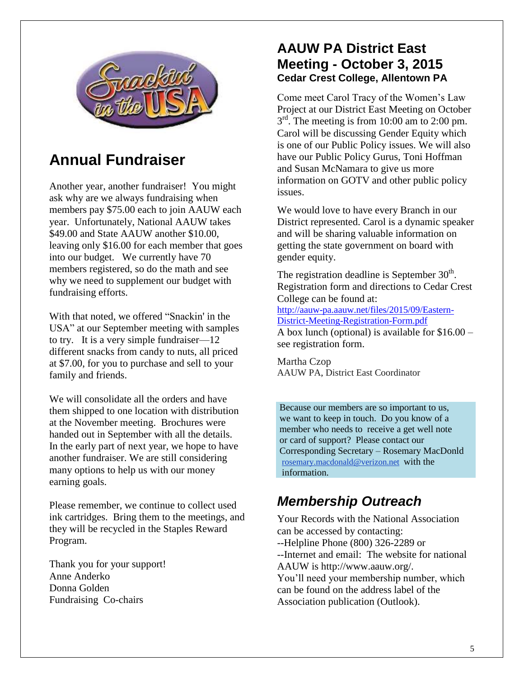

# **Annual Fundraiser**

Another year, another fundraiser! You might ask why are we always fundraising when members pay \$75.00 each to join AAUW each year. Unfortunately, National AAUW takes \$49.00 and State AAUW another \$10.00, leaving only \$16.00 for each member that goes into our budget. We currently have 70 members registered, so do the math and see why we need to supplement our budget with fundraising efforts.

With that noted, we offered "Snackin' in the USA" at our September meeting with samples to try. It is a very simple fundraiser—12 different snacks from candy to nuts, all priced at \$7.00, for you to purchase and sell to your family and friends.

We will consolidate all the orders and have them shipped to one location with distribution at the November meeting. Brochures were handed out in September with all the details. In the early part of next year, we hope to have another fundraiser. We are still considering many options to help us with our money earning goals.

Please remember, we continue to collect used ink cartridges. Bring them to the meetings, and they will be recycled in the Staples Reward Program.

Thank you for your support! Anne Anderko Donna Golden Fundraising Co-chairs

### **AAUW PA District East Meeting - October 3, 2015 Cedar Crest College, Allentown PA**

Come meet Carol Tracy of the Women's Law Project at our District East Meeting on October  $3<sup>rd</sup>$ . The meeting is from 10:00 am to 2:00 pm. Carol will be discussing Gender Equity which is one of our Public Policy issues. We will also have our Public Policy Gurus, Toni Hoffman and Susan McNamara to give us more information on GOTV and other public policy issues.

We would love to have every Branch in our District represented. Carol is a dynamic speaker and will be sharing valuable information on getting the state government on board with gender equity.

The registration deadline is September  $30<sup>th</sup>$ . Registration form and directions to Cedar Crest College can be found at:

[http://aauw-pa.aauw.net/files/2015/09/Eastern-](http://aauw-pa.aauw.net/files/2015/09/Eastern-District-Meeting-Registration-Form.pdf)[District-Meeting-Registration-Form.pdf](http://aauw-pa.aauw.net/files/2015/09/Eastern-District-Meeting-Registration-Form.pdf) A box lunch (optional) is available for \$16.00 – see registration form.

Martha Czop AAUW PA, District East Coordinator

Because our members are so important to us, we want to keep in touch. Do you know of a member who needs to receive a get well note or card of support? Please contact our Corresponding Secretary – Rosemary MacDonld [rosemary.macdonald@verizon.net](mailto:rosemary.macdonald@verizon.net) with the information.

# *Membership Outreach*

Your Records with the National Association can be accessed by contacting: --Helpline Phone (800) 326-2289 or --Internet and email: The website for national AAUW is http://www.aauw.org/. You'll need your membership number, which can be found on the address label of the Association publication (Outlook).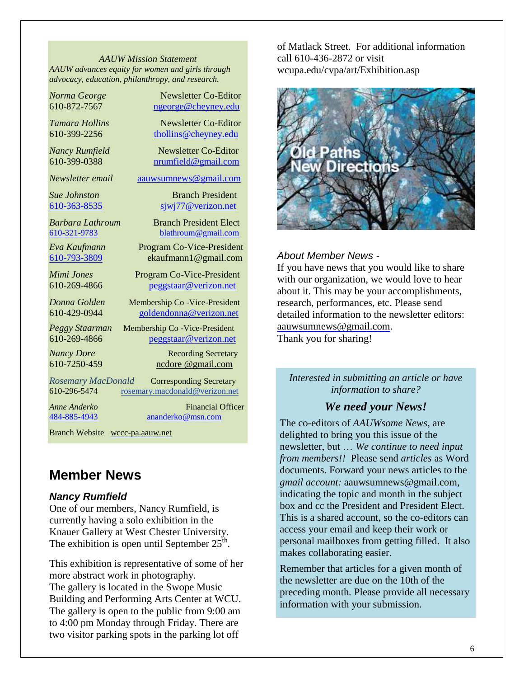*AAUW Mission Statement AAUW advances equity for women and girls through advocacy, education, philanthropy, and research.*

*Norma George* Newsletter Co-Editor 610-872-7567 [ngeorge@cheyney.edu](mailto:ngeorge@cheyney.ecu)

*Tamara Hollins* Newsletter Co-Editor  $610-399-2256$  [thollins@cheyney.edu](mailto:thollins@cheyney.edu)

*Nancy Rumfield* **Newsletter Co-Editor** 610-399-0388 [nrumfield@gmail.com](mailto:nrumfield@gmail.com)

*Newsletter email* [aauwsumnews@gmail.com](mailto:aauwsumnews@gmail.com)

**Sue Johnston** Branch President [610-363-8535](mailto:610-363-8535) [sjwj77@verizon.net](mailto:sjwj77@verizon.net)

*Barbara Lathroum* Branch President Elect [610-321-9783](mailto:610-321-9783) [blathroum@gmail.com](mailto:blathroum@gmail.com)

*Eva Kaufmann* Program Co-Vice-President [610-793-3809](mailto:610-793-3809) ekaufmann1@gmail.com

*Mimi Jones* Program Co-Vice-President 610-269-4866 [peggstaar@verizon.net](mailto:4dores@comcast.net)

*Donna Golden* Membership Co -Vice-President 610-429-0944 [goldendonna@verizon.net](mailto:goldendonna@verizon.net)

*Peggy Staarman* Membership Co -Vice-President 610-269-4866 [peggstaar@verizon.net](mailto:4dores@comcast.net)

*Nancy Dore* **Recording Secretary** 610-7250-459 ncdore @gmail.com

*Rosemary MacDonald* Corresponding Secretary 610-296-5474 [rosemary.macdonald@verizon.net](mailto:rosemary.macdonald@verizon.net)

*Anne Anderko* Financial Officer [484-885-4943](mailto:484-885-4943) [ananderko@msn.com](mailto:ananderko@msn.com)

Branch Website [wccc-pa.aauw.net](http://wccc-pa.aauw.net/)

### **Member News**

### *Nancy Rumfield*

One of our members, Nancy Rumfield, is currently having a solo exhibition in the Knauer Gallery at West Chester University. The exhibition is open until September  $25^{\text{th}}$ .

This exhibition is representative of some of her more abstract work in photography. The gallery is located in the Swope Music Building and Performing Arts Center at WCU. The gallery is open to the public from 9:00 am to 4:00 pm Monday through Friday. There are two visitor parking spots in the parking lot off

of Matlack Street. For additional information call 610-436-2872 or visit wcupa.edu/cvpa/art/Exhibition.asp



#### *About Member News -*

If you have news that you would like to share with our organization, we would love to hear about it. This may be your accomplishments, research, performances, etc. Please send detailed information to the newsletter editors: [aauwsumnews@gmail.com.](mailto:aauwsum@gmail.com) Thank you for sharing!

*Interested in submitting an article or have information to share?*

### *We need your News!*

The co-editors of *AAUWsome News*, are delighted to bring you this issue of the newsletter, but … *We continue to need input from members!!* Please send *articles* as Word documents. Forward your news articles to the *gmail account:* [aauwsumnews@gmail.com,](mailto:aauwsum@gmail.com) indicating the topic and month in the subject box and cc the President and President Elect. This is a shared account, so the co-editors can access your email and keep their work or personal mailboxes from getting filled. It also makes collaborating easier.

Remember that articles for a given month of the newsletter are due on the 10th of the preceding month*.* Please provide all necessary information with your submission.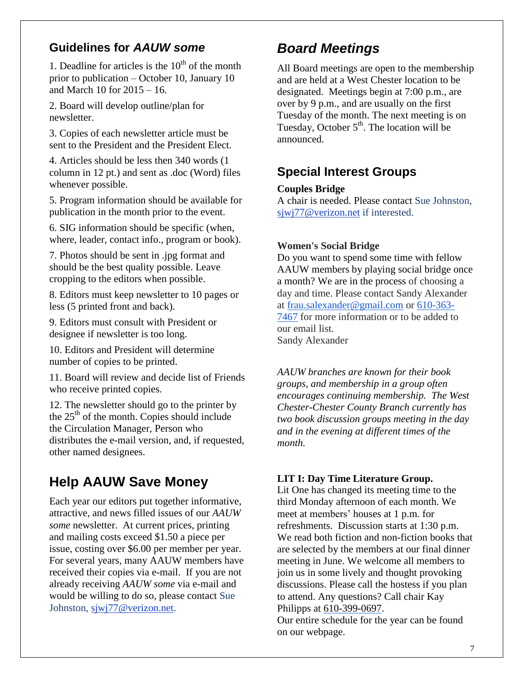### **Guidelines for** *AAUW some*

1. Deadline for articles is the  $10<sup>th</sup>$  of the month prior to publication – October 10, January 10 and March 10 for 2015 – 16.

2. Board will develop outline/plan for newsletter.

3. Copies of each newsletter article must be sent to the President and the President Elect.

4. Articles should be less then 340 words (1 column in 12 pt.) and sent as .doc (Word) files whenever possible.

5. Program information should be available for publication in the month prior to the event.

6. SIG information should be specific (when, where, leader, contact info., program or book).

7. Photos should be sent in .jpg format and should be the best quality possible. Leave cropping to the editors when possible.

8. Editors must keep newsletter to 10 pages or less (5 printed front and back).

9. Editors must consult with President or designee if newsletter is too long.

10. Editors and President will determine number of copies to be printed.

11. Board will review and decide list of Friends who receive printed copies.

12. The newsletter should go to the printer by the  $25<sup>th</sup>$  of the month. Copies should include the Circulation Manager, Person who distributes the e-mail version, and, if requested, other named designees.

# **Help AAUW Save Money**

Each year our editors put together informative, attractive, and news filled issues of our *AAUW some* newsletter. At current prices, printing and mailing costs exceed \$1.50 a piece per issue, costing over \$6.00 per member per year. For several years, many AAUW members have received their copies via e-mail. If you are not already receiving *AAUW some* via e-mail and would be willing to do so, please contact Sue Johnston, [sjwj77@verizon.net.](mailto:sjwj77@verizon.net)

# *Board Meetings*

All Board meetings are open to the membership and are held at a West Chester location to be designated. Meetings begin at 7:00 p.m., are over by 9 p.m., and are usually on the first Tuesday of the month. The next meeting is on Tuesday, October  $5<sup>th</sup>$ . The location will be announced.

### **Special Interest Groups**

### **Couples Bridge**

A chair is needed. Please contact Sue Johnston, [sjwj77@verizon.net](mailto:sjwj77@verizon.net) if interested.

### **Women's Social Bridge**

Do you want to spend some time with fellow AAUW members by playing social bridge once a month? We are in the process of choosing a day and time. Please contact Sandy Alexander at [frau.salexander@gmail.com](mailto:frau.salexander@gmail.com) or 610-363- 7467 for more information or to be added to our email list. Sandy Alexander

*AAUW branches are known for their book groups, and membership in a group often encourages continuing membership. The West Chester-Chester County Branch currently has two book discussion groups meeting in the day and in the evening at different times of the month.* 

### **LIT I: Day Time Literature Group.**

Lit One has changed its meeting time to the third Monday afternoon of each month. We meet at members' houses at 1 p.m. for refreshments. Discussion starts at 1:30 p.m. We read both fiction and non-fiction books that are selected by the members at our final dinner meeting in June. We welcome all members to join us in some lively and thought provoking discussions. Please call the hostess if you plan to attend. Any questions? Call chair Kay Philipps at 610-399-0697.

Our entire schedule for the year can be found on our webpage.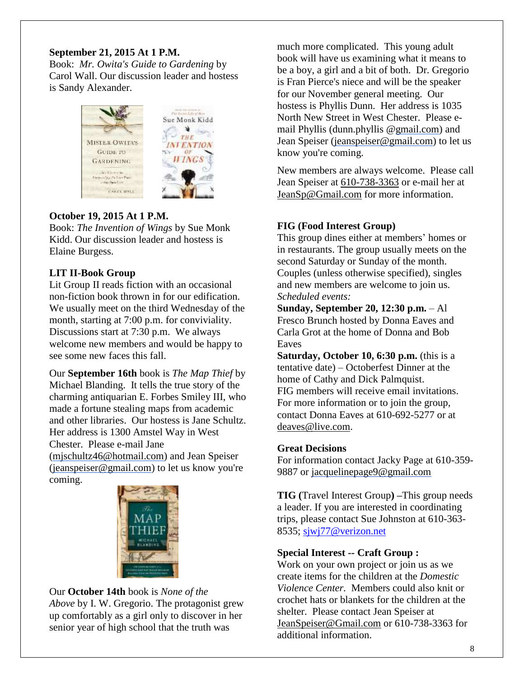### **September 21, 2015 At 1 P.M.**

Book: *Mr. Owita's Guide to Gardening* by Carol Wall. Our discussion leader and hostess is Sandy Alexander.



### **October 19, 2015 At 1 P.M.**

Book: *The Invention of Wings* by Sue Monk Kidd. Our discussion leader and hostess is Elaine Burgess.

### **LIT II-Book Group**

Lit Group II reads fiction with an occasional non-fiction book thrown in for our edification. We usually meet on the third Wednesday of the month, starting at 7:00 p.m. for conviviality. Discussions start at 7:30 p.m. We always welcome new members and would be happy to see some new faces this fall.

Our **September 16th** book is *The Map Thief* by Michael Blanding. It tells the true story of the charming antiquarian E. Forbes Smiley III, who made a fortune stealing maps from academic and other libraries. Our hostess is Jane Schultz. Her address is 1300 Amstel Way in West Chester. Please e-mail Jane [\(mjschultz46@hotmail.com\)](mailto:mjschultz46@hotmail.com) and Jean Speiser [\(jeanspeiser@gmail.com\)](mailto:jeanspeiser@gmail.com) to let us know you're coming.



### Our **October 14th** book is *None of the*

*Above* by I. W. Gregorio. The protagonist grew up comfortably as a girl only to discover in her senior year of high school that the truth was

much more complicated. This young adult book will have us examining what it means to be a boy, a girl and a bit of both. Dr. Gregorio is Fran Pierce's niece and will be the speaker for our November general meeting. Our hostess is Phyllis Dunn. Her address is 1035 North New Street in West Chester. Please email Phyllis (dunn.phyllis [@gmail.com\)](http://gmail.com/) and Jean Speiser [\(jeanspeiser@gmail.com\)](mailto:jeanspeiser@gmail.com) to let us know you're coming.

New members are always welcome. Please call Jean Speiser at [610-738-3363](mailto:610-738-3363) or e-mail her at [JeanSp@Gmail.com](mailto:JeanSp@Gmail.com) for more information.

### **FIG (Food Interest Group)**

This group dines either at members' homes or in restaurants. The group usually meets on the second Saturday or Sunday of the month. Couples (unless otherwise specified), singles and new members are welcome to join us. *Scheduled events:*

**Sunday, September 20, 12:30 p.m.** – Al Fresco Brunch hosted by Donna Eaves and Carla Grot at the home of Donna and Bob **Eaves** 

**Saturday, October 10, 6:30 p.m.** (this is a tentative date) – Octoberfest Dinner at the home of Cathy and Dick Palmquist. FIG members will receive email invitations. For more information or to join the group, contact Donna Eaves at 610-692-5277 or at [deaves@live.com.](mailto:deaves@live.com)

### **Great Decisions**

For information contact Jacky Page at 610-359- 9887 or [jacquelinepage9@gmail.com](mailto:jacquelinepage9@gmail.com)

**TIG (**Travel Interest Group**) –**This group needs a leader. If you are interested in coordinating trips, please contact Sue Johnston at 610-363- 8535; [sjwj77@verizon.net](mailto:sjwj77@verizon.net)

#### **Special Interest -- Craft Group :**

Work on your own project or join us as we create items for the children at the *Domestic Violence Center.* Members could also knit or crochet hats or blankets for the children at the shelter. Please contact Jean Speiser at [JeanSpeiser@Gmail.com](mailto:JeanSpeiser@Gmail.com) or 610-738-3363 for additional information.